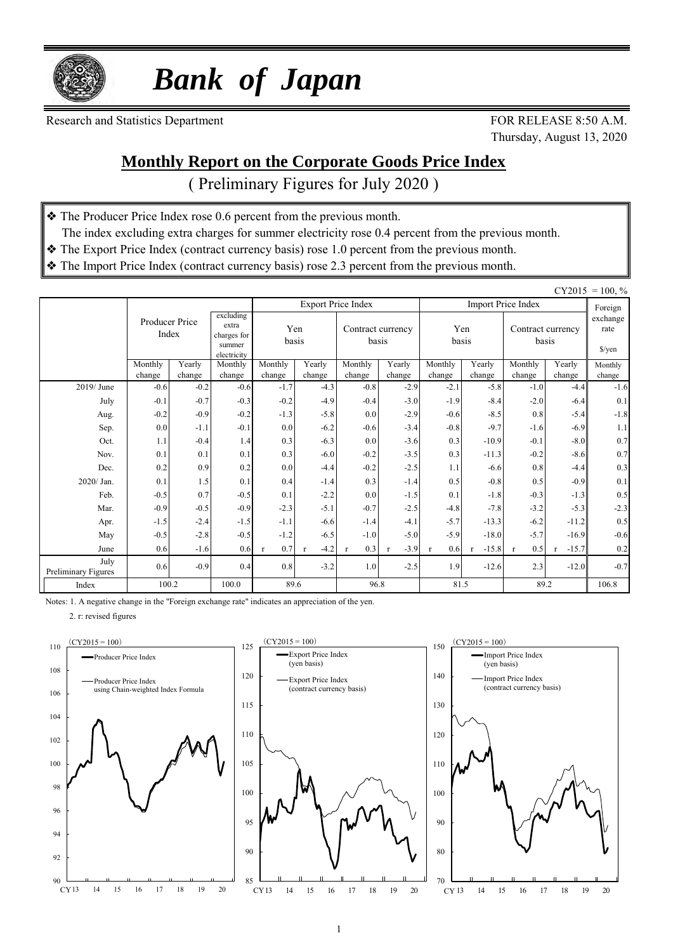

 *Bank of Japan*

Research and Statistics Department FOR RELEASE 8:50 A.M.

Thursday, August 13, 2020

### **Monthly Report on the Corporate Goods Price Index**

( Preliminary Figures for July 2020 )

- ❖ The Producer Price Index rose 0.6 percent from the previous month.
- The index excluding extra charges for summer electricity rose 0.4 percent from the previous month.
- ❖ The Export Price Index (contract currency basis) rose 1.0 percent from the previous month.
- ❖ The Import Price Index (contract currency basis) rose 2.3 percent from the previous month.

|                             |                         |                  |                                                            |                     |                  |                            |                        |                     |                  |                            |                                            | $CY2015 = 100, %$ |
|-----------------------------|-------------------------|------------------|------------------------------------------------------------|---------------------|------------------|----------------------------|------------------------|---------------------|------------------|----------------------------|--------------------------------------------|-------------------|
|                             |                         |                  |                                                            |                     |                  | <b>Export Price Index</b>  |                        |                     |                  | <b>Import Price Index</b>  |                                            | Foreign           |
|                             | Producer Price<br>Index |                  | excluding<br>extra<br>charges for<br>summer<br>electricity | Yen<br>basis        |                  | Contract currency<br>basis |                        | Yen<br>basis        |                  | Contract currency<br>basis | exchange<br>rate<br>$\sqrt{\frac{2}{\pi}}$ |                   |
|                             | Monthly<br>change       | Yearly<br>change | Monthly<br>change                                          | Monthly<br>change   | Yearly<br>change | Monthly<br>change          | Yearly<br>change       | Monthly<br>change   | Yearly<br>change | Monthly<br>change          | Yearly<br>change                           | Monthly<br>change |
| 2019/June                   | $-0.6$                  | $-0.2$           | $-0.6$                                                     | $-1.7$              | $-4.3$           | $-0.8$                     | $-2.9$                 | $-2.1$              | $-5.8$           | $-1.0$                     | $-4.4$                                     | $-1.6$            |
| July                        | $-0.1$                  | $-0.7$           | $-0.3$                                                     | $-0.2$              | $-4.9$           | $-0.4$                     | $-3.0$                 | $-1.9$              | $-8.4$           | $-2.0$                     | $-6.4$                                     | 0.1               |
| Aug.                        | $-0.2$                  | $-0.9$           | $-0.2$                                                     | $-1.3$              | $-5.8$           | 0.0                        | $-2.9$                 | $-0.6$              | $-8.5$           | 0.8                        | $-5.4$                                     | $-1.8$            |
| Sep.                        | 0.0                     | $-1.1$           | $-0.1$                                                     | 0.0                 | $-6.2$           | $-0.6$                     | $-3.4$                 | $-0.8$              | $-9.7$           | $-1.6$                     | $-6.9$                                     | 1.1               |
| Oct.                        | 1.1                     | $-0.4$           | 1.4                                                        | 0.3                 | $-6.3$           | 0.0                        | $-3.6$                 | 0.3                 | $-10.9$          | $-0.1$                     | $-8.0$                                     | 0.7               |
| Nov.                        | 0.1                     | 0.1              | 0.1                                                        | 0.3                 | $-6.0$           | $-0.2$                     | $-3.5$                 | 0.3                 | $-11.3$          | $-0.2$                     | $-8.6$                                     | 0.7               |
| Dec.                        | 0.2                     | 0.9              | 0.2                                                        | 0.0                 | $-4.4$           | $-0.2$                     | $-2.5$                 | 1.1                 | $-6.6$           | 0.8                        | $-4.4$                                     | 0.3               |
| 2020/ Jan.                  | 0.1                     | 1.5              | 0.1                                                        | 0.4                 | $-1.4$           | 0.3                        | $-1.4$                 | 0.5                 | $-0.8$           | 0.5                        | $-0.9$                                     | 0.1               |
| Feb.                        | $-0.5$                  | 0.7              | $-0.5$                                                     | 0.1                 | $-2.2$           | 0.0                        | $-1.5$                 | 0.1                 | $-1.8$           | $-0.3$                     | $-1.3$                                     | 0.5               |
| Mar.                        | $-0.9$                  | $-0.5$           | $-0.9$                                                     | $-2.3$              | $-5.1$           | $-0.7$                     | $-2.5$                 | $-4.8$              | $-7.8$           | $-3.2$                     | $-5.3$                                     | $-2.3$            |
| Apr.                        | $-1.5$                  | $-2.4$           | $-1.5$                                                     | $-1.1$              | $-6.6$           | $-1.4$                     | $-4.1$                 | $-5.7$              | $-13.3$          | $-6.2$                     | $-11.2$                                    | 0.5               |
| May                         | $-0.5$                  | $-2.8$           | $-0.5$                                                     | $-1.2$              | $-6.5$           | $-1.0$                     | $-5.0$                 | $-5.9$              | $-18.0$          | $-5.7$                     | $-16.9$                                    | $-0.6$            |
| June                        | 0.6                     | $-1.6$           | 0.6                                                        | 0.7<br>$\mathbf{r}$ | $-4.2$           | 0.3<br>$\mathbf{r}$        | $-3.9$<br>$\mathbf{r}$ | 0.6<br>$\mathbf{r}$ | $-15.8$          | 0.5<br>$\mathbf{r}$        | $-15.7$<br>$\mathbf{r}$                    | $0.2\,$           |
| July<br>Preliminary Figures | 0.6                     | $-0.9$           | 0.4                                                        | 0.8                 | $-3.2$           | 1.0                        | $-2.5$                 | 1.9                 | $-12.6$          | 2.3                        | $-12.0$                                    | $-0.7$            |
| Index                       | 100.2                   |                  | 100.0                                                      |                     | 89.6             |                            | 96.8                   | 81.5                |                  | 89.2                       | 106.8                                      |                   |

Notes: 1. A negative change in the "Foreign exchange rate" indicates an appreciation of the yen.

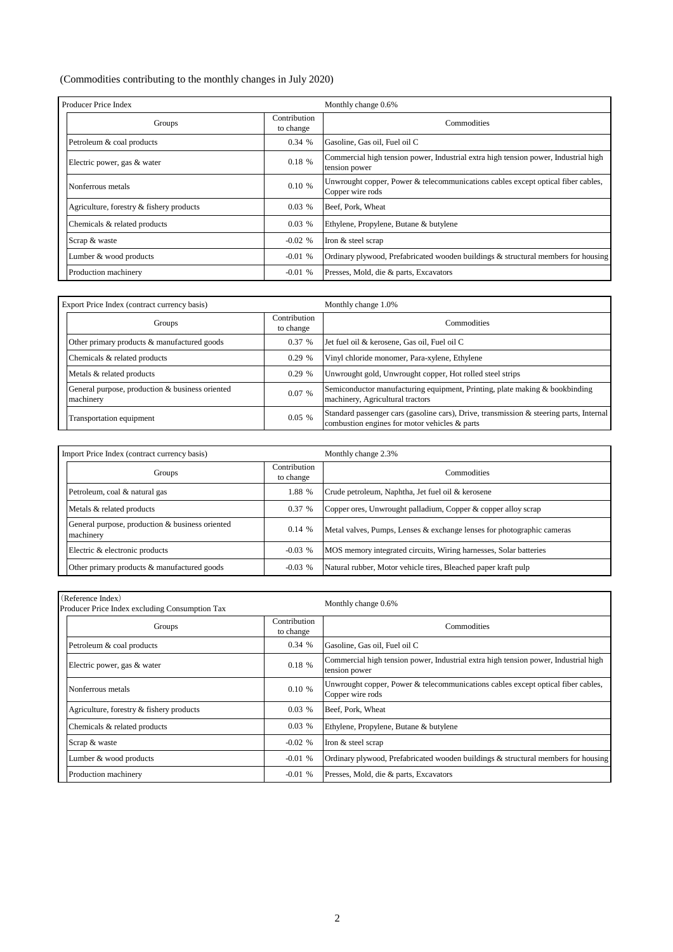#### (Commodities contributing to the monthly changes in July 2020)

| Producer Price Index                     |                           | Monthly change 0.6%                                                                                  |  |  |  |  |  |
|------------------------------------------|---------------------------|------------------------------------------------------------------------------------------------------|--|--|--|--|--|
| Groups                                   | Contribution<br>to change | Commodities                                                                                          |  |  |  |  |  |
| Petroleum & coal products                | 0.34%                     | Gasoline, Gas oil, Fuel oil C                                                                        |  |  |  |  |  |
| Electric power, gas & water              | 0.18%                     | Commercial high tension power, Industrial extra high tension power, Industrial high<br>tension power |  |  |  |  |  |
| Nonferrous metals                        | 0.10%                     | Unwrought copper, Power & telecommunications cables except optical fiber cables,<br>Copper wire rods |  |  |  |  |  |
| Agriculture, forestry & fishery products | 0.03%                     | Beef, Pork, Wheat                                                                                    |  |  |  |  |  |
| Chemicals & related products             | 0.03%                     | Ethylene, Propylene, Butane & butylene                                                               |  |  |  |  |  |
| Scrap & waste                            | $-0.02$ %                 | Iron & steel scrap                                                                                   |  |  |  |  |  |
| Lumber & wood products                   | $-0.01%$                  | Ordinary plywood, Prefabricated wooden buildings & structural members for housing                    |  |  |  |  |  |
| Production machinery                     | $-0.01%$                  | Presses, Mold, die & parts, Excavators                                                               |  |  |  |  |  |

| Export Price Index (contract currency basis)                 |                           | Monthly change 1.0%                                                                                                                      |  |  |  |  |  |  |
|--------------------------------------------------------------|---------------------------|------------------------------------------------------------------------------------------------------------------------------------------|--|--|--|--|--|--|
| Groups                                                       | Contribution<br>to change | Commodities                                                                                                                              |  |  |  |  |  |  |
| Other primary products & manufactured goods                  | 0.37%                     | Jet fuel oil & kerosene, Gas oil, Fuel oil C                                                                                             |  |  |  |  |  |  |
| Chemicals & related products                                 | 0.29%                     | Vinyl chloride monomer, Para-xylene, Ethylene                                                                                            |  |  |  |  |  |  |
| Metals & related products                                    | 0.29%                     | Unwrought gold, Unwrought copper, Hot rolled steel strips                                                                                |  |  |  |  |  |  |
| General purpose, production & business oriented<br>machinery | 0.07%                     | Semiconductor manufacturing equipment, Printing, plate making & bookbinding<br>machinery, Agricultural tractors                          |  |  |  |  |  |  |
| Transportation equipment                                     | 0.05%                     | Standard passenger cars (gasoline cars), Drive, transmission & steering parts, Internal<br>combustion engines for motor vehicles & parts |  |  |  |  |  |  |

| Import Price Index (contract currency basis)                 |                           | Monthly change 2.3%                                                    |  |  |  |  |  |  |
|--------------------------------------------------------------|---------------------------|------------------------------------------------------------------------|--|--|--|--|--|--|
| Groups                                                       | Contribution<br>to change | <b>Commodities</b>                                                     |  |  |  |  |  |  |
| Petroleum, coal & natural gas                                | 1.88 %                    | Crude petroleum, Naphtha, Jet fuel oil & kerosene                      |  |  |  |  |  |  |
| Metals & related products                                    | 0.37%                     | Copper ores, Unwrought palladium, Copper & copper alloy scrap          |  |  |  |  |  |  |
| General purpose, production & business oriented<br>machinery | 0.14%                     | Metal valves, Pumps, Lenses & exchange lenses for photographic cameras |  |  |  |  |  |  |
| Electric & electronic products                               | $-0.03\%$                 | MOS memory integrated circuits, Wiring harnesses, Solar batteries      |  |  |  |  |  |  |
| Other primary products & manufactured goods                  | $-0.03\%$                 | Natural rubber, Motor vehicle tires, Bleached paper kraft pulp         |  |  |  |  |  |  |

| (Reference Index)<br>Producer Price Index excluding Consumption Tax |                           | Monthly change 0.6%                                                                                  |
|---------------------------------------------------------------------|---------------------------|------------------------------------------------------------------------------------------------------|
| Groups                                                              | Contribution<br>to change | Commodities                                                                                          |
| Petroleum & coal products                                           | 0.34%                     | Gasoline, Gas oil, Fuel oil C                                                                        |
| Electric power, gas & water                                         | 0.18%                     | Commercial high tension power, Industrial extra high tension power, Industrial high<br>tension power |
| Nonferrous metals                                                   | 0.10%                     | Unwrought copper, Power & telecommunications cables except optical fiber cables,<br>Copper wire rods |
| Agriculture, forestry & fishery products                            | 0.03%                     | Beef, Pork, Wheat                                                                                    |
| Chemicals & related products                                        | 0.03%                     | Ethylene, Propylene, Butane & butylene                                                               |
| Scrap & waste                                                       | $-0.02$ %                 | Iron & steel scrap                                                                                   |
| Lumber & wood products                                              | $-0.01$ %                 | Ordinary plywood, Prefabricated wooden buildings & structural members for housing                    |
| Production machinery                                                | $-0.01%$                  | Presses, Mold, die & parts, Excavators                                                               |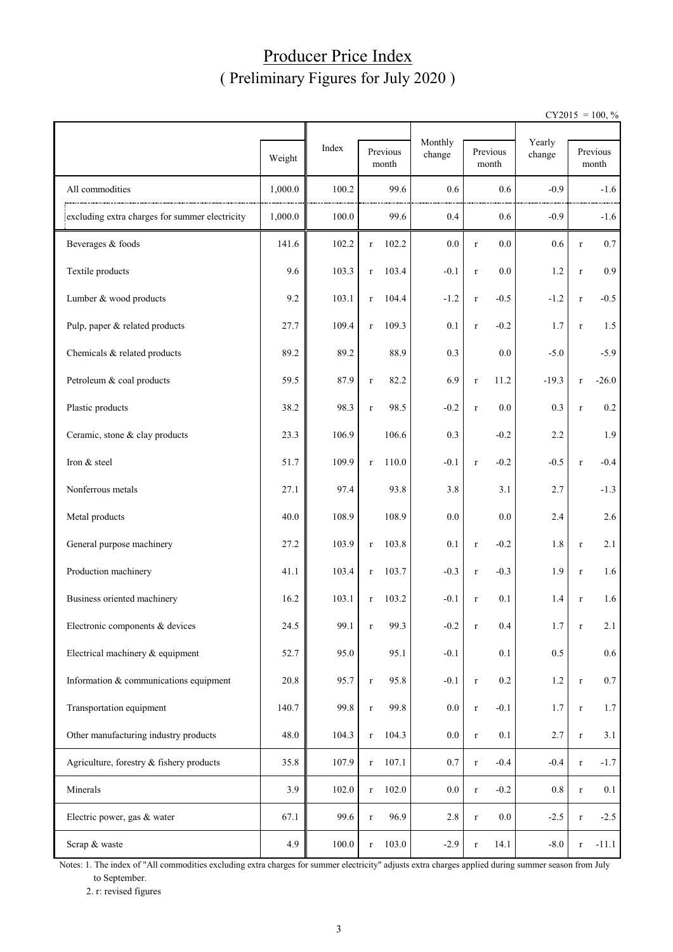### Producer Price Index ( Preliminary Figures for July 2020 )

 $CY2015 = 100, \%$ 

|                                                |         |       |              |                   | Monthly |         |                            | Yearly    |         |                   |
|------------------------------------------------|---------|-------|--------------|-------------------|---------|---------|----------------------------|-----------|---------|-------------------|
|                                                | Weight  | Index |              | Previous<br>month | change  |         | Previous<br>$\mbox{month}$ | change    |         | Previous<br>month |
| All commodities                                | 1,000.0 | 100.2 |              | 99.6              | 0.6     |         | 0.6                        | $-0.9$    |         | $-1.6$            |
| excluding extra charges for summer electricity | 1,000.0 | 100.0 |              | 99.6              | 0.4     |         | 0.6                        | $-0.9$    |         | $-1.6$            |
| Beverages & foods                              | 141.6   | 102.2 | $\mathbf{r}$ | 102.2             | $0.0\,$ | $\bf r$ | 0.0                        | $0.6\,$   | $\bf r$ | $0.7\,$           |
| Textile products                               | 9.6     | 103.3 | $\bf r$      | 103.4             | $-0.1$  | $\bf r$ | 0.0                        | 1.2       | $\bf r$ | 0.9 <sub>0</sub>  |
| Lumber & wood products                         | 9.2     | 103.1 | $\bf r$      | 104.4             | $-1.2$  | $\bf r$ | $-0.5$                     | $-1.2$    | $\bf r$ | $-0.5$            |
| Pulp, paper & related products                 | 27.7    | 109.4 | $\bf r$      | 109.3             | 0.1     | $\bf r$ | $-0.2$                     | 1.7       | $\bf r$ | 1.5               |
| Chemicals & related products                   | 89.2    | 89.2  |              | 88.9              | 0.3     |         | 0.0                        | $-5.0$    |         | $-5.9$            |
| Petroleum & coal products                      | 59.5    | 87.9  | $\mathbf r$  | 82.2              | 6.9     | $\bf r$ | 11.2                       | $-19.3$   | $\bf r$ | $-26.0$           |
| Plastic products                               | 38.2    | 98.3  | $\mathbf r$  | 98.5              | $-0.2$  | $\bf r$ | 0.0                        | 0.3       | $\bf r$ | $0.2\,$           |
| Ceramic, stone & clay products                 | 23.3    | 106.9 |              | 106.6             | 0.3     |         | $-0.2$                     | 2.2       |         | 1.9               |
| Iron & steel                                   | 51.7    | 109.9 | $\bf r$      | 110.0             | $-0.1$  | $\bf r$ | $-0.2$                     | $-0.5$    | $\bf r$ | $-0.4$            |
| Nonferrous metals                              | 27.1    | 97.4  |              | 93.8              | 3.8     |         | 3.1                        | 2.7       |         | $-1.3$            |
| Metal products                                 | 40.0    | 108.9 |              | 108.9             | $0.0\,$ |         | 0.0                        | 2.4       |         | 2.6               |
| General purpose machinery                      | 27.2    | 103.9 | $\bf r$      | 103.8             | 0.1     | $\bf r$ | $-0.2$                     | 1.8       | $\bf r$ | 2.1               |
| Production machinery                           | 41.1    | 103.4 | $\bf r$      | 103.7             | $-0.3$  | $\bf r$ | $-0.3$                     | 1.9       | $\bf r$ | 1.6               |
| Business oriented machinery                    | 16.2    | 103.1 | r            | 103.2             | $-0.1$  | $\bf r$ | 0.1                        | 1.4       | $\bf r$ | 1.6               |
| Electronic components & devices                | 24.5    | 99.1  |              | 99.3              | $-0.2$  |         | $0.4\,$                    | 1.7       | r       | 2.1               |
| Electrical machinery & equipment               | 52.7    | 95.0  |              | 95.1              | $-0.1$  |         | 0.1                        | 0.5       |         | $0.6\,$           |
| Information & communications equipment         | 20.8    | 95.7  | $\bf r$      | 95.8              | $-0.1$  | $\bf r$ | 0.2                        | $1.2\,$   | $\bf r$ | $0.7\,$           |
| Transportation equipment                       | 140.7   | 99.8  | $\mathbf r$  | 99.8              | $0.0\,$ | $\bf r$ | $-0.1$                     | 1.7       | $\bf r$ | $1.7\,$           |
| Other manufacturing industry products          | 48.0    | 104.3 | $\mathbf r$  | 104.3             | $0.0\,$ | $\bf r$ | 0.1                        | 2.7       | $\bf r$ | 3.1               |
| Agriculture, forestry & fishery products       | 35.8    | 107.9 | $\bf r$      | 107.1             | 0.7     | $\bf r$ | $-0.4$                     | $-0.4$    | $\bf r$ | $-1.7$            |
| Minerals                                       | 3.9     | 102.0 | $\bf r$      | 102.0             | $0.0\,$ | $\bf r$ | $-0.2$                     | $\rm 0.8$ | $\bf r$ | 0.1               |
| Electric power, gas & water                    | 67.1    | 99.6  | $\mathbf r$  | 96.9              | $2.8\,$ | $\bf r$ | $0.0\,$                    | $-2.5$    | $\bf r$ | $-2.5$            |
| Scrap & waste                                  | 4.9     | 100.0 | $\mathbf r$  | 103.0             | $-2.9$  | $\bf r$ | 14.1                       | $-8.0$    | $\bf r$ | $-11.1$           |

Notes: 1. The index of "All commodities excluding extra charges for summer electricity" adjusts extra charges applied during summer season from July to September.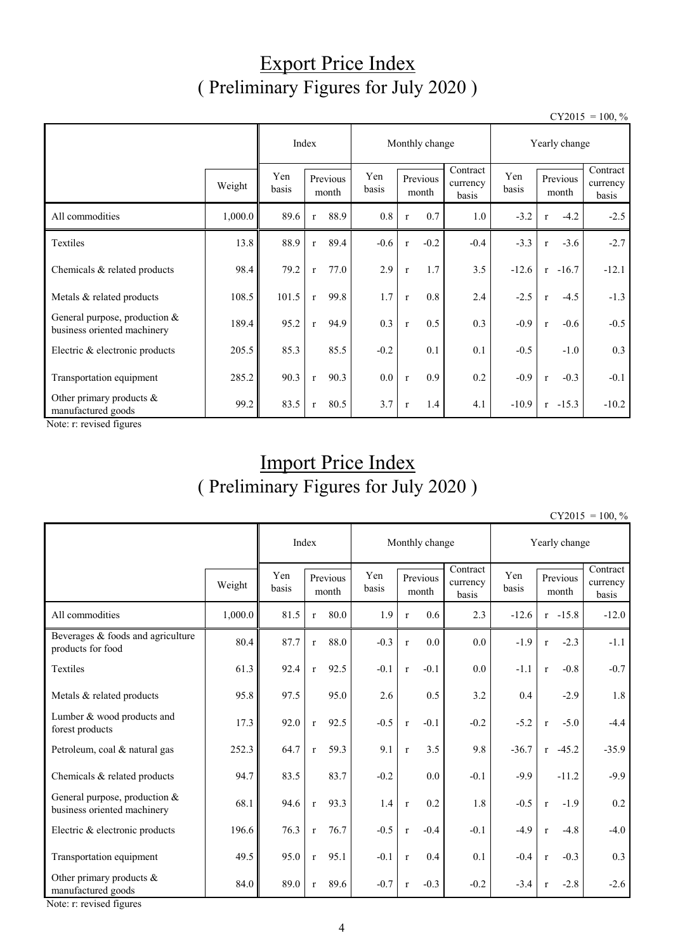### Export Price Index ( Preliminary Figures for July 2020 )

 $CY2015 = 100, \%$ 

|                                                                | Index   |              |                   | Monthly change |              |                   |        | Yearly change                 |              |              |                   |                               |
|----------------------------------------------------------------|---------|--------------|-------------------|----------------|--------------|-------------------|--------|-------------------------------|--------------|--------------|-------------------|-------------------------------|
|                                                                | Weight  | Yen<br>basis | Previous<br>month |                | Yen<br>basis | Previous<br>month |        | Contract<br>currency<br>basis | Yen<br>basis |              | Previous<br>month | Contract<br>currency<br>basis |
| All commodities                                                | 1,000.0 | 89.6         | $\mathbf{r}$      | 88.9           | 0.8          | $\mathbf{r}$      | 0.7    | 1.0                           | $-3.2$       | $\mathbf{r}$ | $-4.2$            | $-2.5$                        |
| Textiles                                                       | 13.8    | 88.9         | $\mathbf{r}$      | 89.4           | $-0.6$       | $\mathbf{r}$      | $-0.2$ | $-0.4$                        | $-3.3$       | $\mathbf r$  | $-3.6$            | $-2.7$                        |
| Chemicals & related products                                   | 98.4    | 79.2         | $\mathbf{r}$      | 77.0           | 2.9          | $\mathbf{r}$      | 1.7    | 3.5                           | $-12.6$      | $\mathbf{r}$ | $-16.7$           | $-12.1$                       |
| Metals & related products                                      | 108.5   | 101.5        | $\mathbf{r}$      | 99.8           | 1.7          | $\mathbf{r}$      | 0.8    | 2.4                           | $-2.5$       | $\mathbf{r}$ | $-4.5$            | $-1.3$                        |
| General purpose, production $&$<br>business oriented machinery | 189.4   | 95.2         | $\mathbf{r}$      | 94.9           | 0.3          | $\mathbf{r}$      | 0.5    | 0.3                           | $-0.9$       | $\mathbf{r}$ | $-0.6$            | $-0.5$                        |
| Electric & electronic products                                 | 205.5   | 85.3         |                   | 85.5           | $-0.2$       |                   | 0.1    | 0.1                           | $-0.5$       |              | $-1.0$            | 0.3                           |
| Transportation equipment                                       | 285.2   | 90.3         | $\mathbf{r}$      | 90.3           | 0.0          | $\mathbf{r}$      | 0.9    | 0.2                           | $-0.9$       | $\mathbf{r}$ | $-0.3$            | $-0.1$                        |
| Other primary products &<br>manufactured goods                 | 99.2    | 83.5         | $\mathbf{r}$      | 80.5           | 3.7          | $\mathbf{r}$      | 1.4    | 4.1                           | $-10.9$      |              | $r -15.3$         | $-10.2$                       |

Note: r: revised figures

## Import Price Index ( Preliminary Figures for July 2020 )

 $CY2015 = 100, \%$ 

|                                                              |         |              | Index             |      |              | Monthly change    |        |                               |              | Yearly change |                   |                               |  |
|--------------------------------------------------------------|---------|--------------|-------------------|------|--------------|-------------------|--------|-------------------------------|--------------|---------------|-------------------|-------------------------------|--|
|                                                              | Weight  | Yen<br>basis | Previous<br>month |      | Yen<br>basis | Previous<br>month |        | Contract<br>currency<br>basis | Yen<br>basis |               | Previous<br>month | Contract<br>currency<br>basis |  |
| All commodities                                              | 1,000.0 | 81.5         | $\mathbf{r}$      | 80.0 | 1.9          | $\mathbf{r}$      | 0.6    | 2.3                           | $-12.6$      |               | $r -15.8$         | $-12.0$                       |  |
| Beverages & foods and agriculture<br>products for food       | 80.4    | 87.7         | $\mathbf r$       | 88.0 | $-0.3$       | $\mathbf r$       | 0.0    | 0.0                           | $-1.9$       | $\mathbf r$   | $-2.3$            | $-1.1$                        |  |
| Textiles                                                     | 61.3    | 92.4         | $\mathbf{r}$      | 92.5 | $-0.1$       | $\mathbf{r}$      | $-0.1$ | 0.0                           | $-1.1$       | $\mathbf{r}$  | $-0.8$            | $-0.7$                        |  |
| Metals & related products                                    | 95.8    | 97.5         |                   | 95.0 | 2.6          |                   | 0.5    | 3.2                           | 0.4          |               | $-2.9$            | 1.8                           |  |
| Lumber & wood products and<br>forest products                | 17.3    | 92.0         | $\mathbf{r}$      | 92.5 | $-0.5$       | $\mathbf{r}$      | $-0.1$ | $-0.2$                        | $-5.2$       | $\mathbf{r}$  | $-5.0$            | $-4.4$                        |  |
| Petroleum, coal & natural gas                                | 252.3   | 64.7         | $\mathbf{r}$      | 59.3 | 9.1          | $\mathbf{r}$      | 3.5    | 9.8                           | $-36.7$      | r             | $-45.2$           | $-35.9$                       |  |
| Chemicals & related products                                 | 94.7    | 83.5         |                   | 83.7 | $-0.2$       |                   | 0.0    | $-0.1$                        | $-9.9$       |               | $-11.2$           | $-9.9$                        |  |
| General purpose, production &<br>business oriented machinery | 68.1    | 94.6         | $\mathbf{r}$      | 93.3 | 1.4          | $\mathbf{r}$      | 0.2    | 1.8                           | $-0.5$       | $\mathbf{r}$  | $-1.9$            | 0.2                           |  |
| Electric & electronic products                               | 196.6   | 76.3         | $\mathbf{r}$      | 76.7 | $-0.5$       | $\mathbf{r}$      | $-0.4$ | $-0.1$                        | $-4.9$       | $\mathbf{r}$  | $-4.8$            | $-4.0$                        |  |
| Transportation equipment                                     | 49.5    | 95.0         | $\mathbf{r}$      | 95.1 | $-0.1$       | $\mathbf{r}$      | 0.4    | 0.1                           | $-0.4$       | $\mathbf{r}$  | $-0.3$            | 0.3                           |  |
| Other primary products $&$<br>manufactured goods             | 84.0    | 89.0         | $\mathbf{r}$      | 89.6 | $-0.7$       | $\mathbf{r}$      | $-0.3$ | $-0.2$                        | $-3.4$       | $\mathbf{r}$  | $-2.8$            | $-2.6$                        |  |

Note: r: revised figures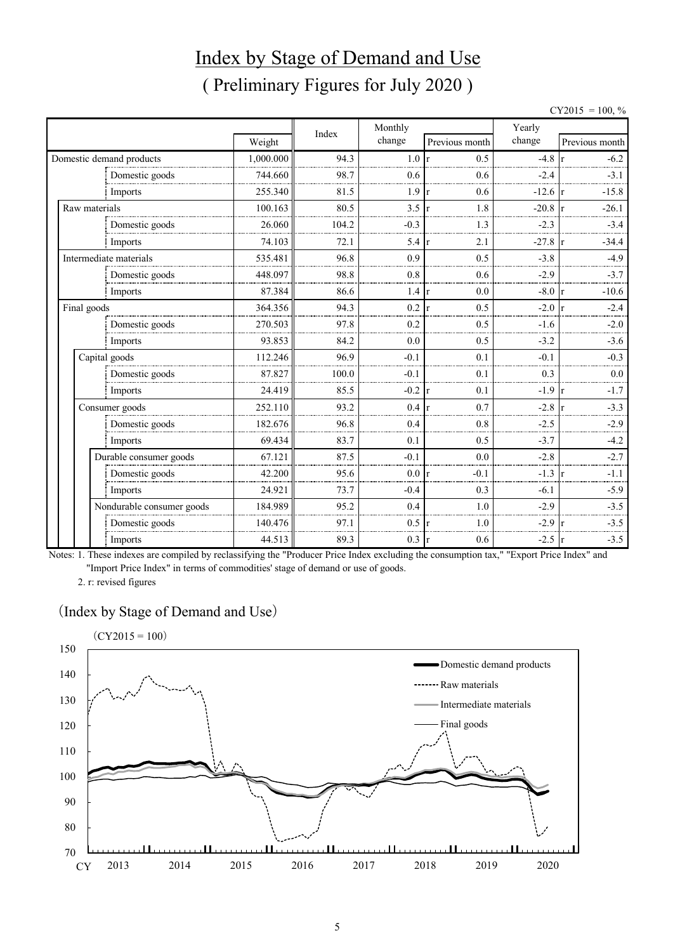## Index by Stage of Demand and Use ( Preliminary Figures for July 2020 )

 $CY2015 = 100, \%$ 

|               |                                      |           |       | Monthly         |                     | Yearly           |                         |
|---------------|--------------------------------------|-----------|-------|-----------------|---------------------|------------------|-------------------------|
|               |                                      | Weight    | Index | change          | Previous month      | change           | Previous month          |
|               | Domestic demand products             | 1,000.000 | 94.3  | 1.0             | 0.5<br>$\mathbf{r}$ | $-4.8$           | $-6.2$                  |
|               | Domestic goods                       | 744.660   | 98.7  | 0.6             | 0.6                 | $-2.4$           | $-3.1$                  |
|               | Imports                              | 255.340   | 81.5  | 1.9             | 0.6<br>r            | $-12.6$ r        | $-15.8$                 |
| Raw materials |                                      | 100.163   | 80.5  | 3.5             | 1.8<br>lr.          | $-20.8$          | $-26.1$                 |
|               | Domestic goods                       | 26.060    | 104.2 | $-0.3$          | 1.3                 | $-2.3$           | $-3.4$                  |
|               | Imports                              | 74.103    | 72.1  | $5.4 \text{ r}$ | 2.1                 | $-27.8 \rceil r$ | $-34.4$                 |
|               | Intermediate materials               | 535.481   | 96.8  | 0.9             | 0.5                 | $-3.8$           | $-4.9$                  |
|               | Domestic goods                       | 448.097   | 98.8  | 0.8             | 0.6                 | $-2.9$           | $-3.7$                  |
|               | Imports                              | 87.384    | 86.6  | 1.4             | 0.0<br>r            | $-8.0$           | $-10.6$<br>$\mathsf{r}$ |
| Final goods   |                                      | 364.356   | 94.3  | 0.2             | 0.5<br>$\mathbf{r}$ | $-2.0$           | $-2.4$                  |
|               | Domestic goods                       | 270.503   | 97.8  | 0.2             | 0.5                 | $-1.6$           | $-2.0$                  |
|               | Imports                              | 93.853    | 84.2  | 0.0             | 0.5                 | $-3.2$           | $-3.6$                  |
|               | Capital goods                        | 112.246   | 96.9  | $-0.1$          | 0.1                 | $-0.1$           | $-0.3$                  |
|               | Domestic goods                       | 87.827    | 100.0 | $-0.1$          | 0.1                 | 0.3              | 0.0                     |
|               | Imports                              | 24.419    | 85.5  | $-0.2$          | 0.1<br>$\mathbf{r}$ | $-1.9$           | $-1.7$<br>l r           |
|               | Consumer goods                       | 252.110   | 93.2  | 0.4             | 0.7<br>r            | $-2.8$           | $-3.3$                  |
|               | Domestic goods                       | 182.676   | 96.8  | 0.4             | 0.8                 | $-2.5$           | $-2.9$                  |
|               | Imports                              | 69.434    | 83.7  | 0.1             | 0.5                 | $-3.7$           | $-4.2$                  |
|               | Durable consumer goods               | 67.121    | 87.5  | $-0.1$          | 0.0                 | $-2.8$           | $-2.7$                  |
|               | Domestic goods                       | 42.200    | 95.6  | 0.0 r           | $-0.1$              | $-1.3$           | $-1.1$                  |
|               | Imports<br>Nondurable consumer goods | 24.921    | 73.7  | $-0.4$          | 0.3                 | $-6.1$           | $-5.9$                  |
|               |                                      | 184.989   | 95.2  | 0.4             | 1.0                 | $-2.9$           | $-3.5$                  |
|               | Domestic goods                       | 140.476   | 97.1  | 0.5             | 1.0                 | $-2.9$           | $-3.5$                  |
|               | Imports                              | 44.513    | 89.3  | 0.3             | 0.6<br><sup>r</sup> | $-2.5$           | $-3.5$<br>lr.           |

Notes: 1. These indexes are compiled by reclassifying the "Producer Price Index excluding the consumption tax," "Export Price Index" and "Import Price Index" in terms of commodities' stage of demand or use of goods.

2. r: revised figures

#### (Index by Stage of Demand and Use)

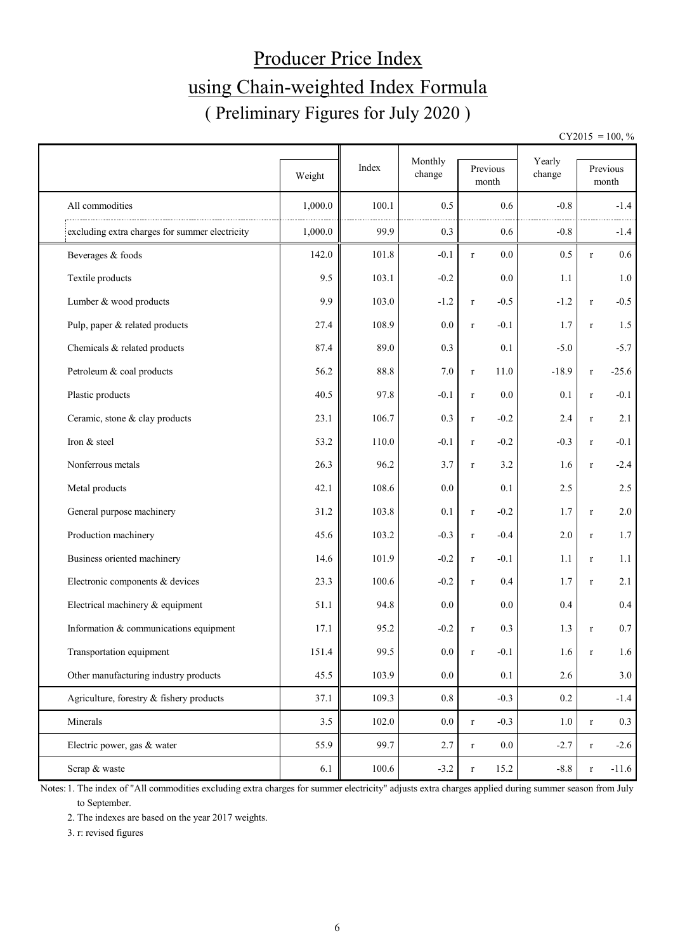# Producer Price Index using Chain-weighted Index Formula ( Preliminary Figures for July 2020 )

 $CY2015 = 100, \%$ 

|                                                | Weight  | Index | Monthly<br>change | Previous<br>month     | Yearly<br>change |              | Previous<br>month |  |
|------------------------------------------------|---------|-------|-------------------|-----------------------|------------------|--------------|-------------------|--|
| All commodities                                | 1,000.0 | 100.1 | 0.5               | 0.6                   | $-0.8$           |              | $-1.4$            |  |
| excluding extra charges for summer electricity | 1,000.0 | 99.9  | 0.3               | 0.6                   | $-0.8$           |              | $-1.4$            |  |
| Beverages & foods                              | 142.0   | 101.8 | $-0.1$            | 0.0<br>$\mathbf r$    | 0.5              | $\bf r$      | 0.6               |  |
| Textile products                               | 9.5     | 103.1 | $-0.2$            | 0.0                   | 1.1              |              | 1.0               |  |
| Lumber & wood products                         | 9.9     | 103.0 | $-1.2$            | $-0.5$<br>$\mathbf r$ | $-1.2$           | $\bf r$      | $-0.5$            |  |
| Pulp, paper & related products                 | 27.4    | 108.9 | 0.0               | $-0.1$<br>$\mathbf r$ | 1.7              | $\mathbf{r}$ | 1.5               |  |
| Chemicals & related products                   | 87.4    | 89.0  | 0.3               | 0.1                   | $-5.0$           |              | $-5.7$            |  |
| Petroleum & coal products                      | 56.2    | 88.8  | 7.0               | 11.0<br>$\mathbf r$   | $-18.9$          | $\bf r$      | $-25.6$           |  |
| Plastic products                               | 40.5    | 97.8  | $-0.1$            | 0.0<br>$\mathbf r$    | 0.1              | $\bf r$      | $-0.1$            |  |
| Ceramic, stone & clay products                 | 23.1    | 106.7 | 0.3               | $-0.2$<br>$\bf r$     | 2.4              | $\bf r$      | 2.1               |  |
| Iron & steel                                   | 53.2    | 110.0 | $-0.1$            | $-0.2$<br>$\bf r$     | $-0.3$           | $\bf r$      | $-0.1$            |  |
| Nonferrous metals                              | 26.3    | 96.2  | 3.7               | 3.2<br>$\mathbf r$    | 1.6              | $\bf r$      | $-2.4$            |  |
| Metal products                                 | 42.1    | 108.6 | 0.0               | 0.1                   | 2.5              |              | 2.5               |  |
| General purpose machinery                      | 31.2    | 103.8 | 0.1               | $-0.2$<br>$\mathbf r$ | 1.7              | $\bf r$      | $2.0\,$           |  |
| Production machinery                           | 45.6    | 103.2 | $-0.3$            | $-0.4$<br>$\mathbf r$ | 2.0              | $\bf r$      | 1.7               |  |
| Business oriented machinery                    | 14.6    | 101.9 | $-0.2$            | $-0.1$<br>$\mathbf r$ | 1.1              | $\bf r$      | 1.1               |  |
| Electronic components & devices                | 23.3    | 100.6 | $-0.2$            | 0.4<br>$\bf r$        | 1.7              | $\mathbf{r}$ | 2.1               |  |
| Electrical machinery & equipment               | 51.1    | 94.8  | 0.0               | 0.0                   | 0.4              |              | 0.4               |  |
| Information & communications equipment         | 17.1    | 95.2  | $-0.2$            | 0.3<br>$\mathbf r$    | 1.3              | $\mathbf{r}$ | $0.7\,$           |  |
| Transportation equipment                       | 151.4   | 99.5  | $0.0\,$           | $-0.1$<br>$\mathbf r$ | 1.6              | $\bf r$      | 1.6               |  |
| Other manufacturing industry products          | 45.5    | 103.9 | $0.0\,$           | 0.1                   | 2.6              |              | 3.0               |  |
| Agriculture, forestry & fishery products       | 37.1    | 109.3 | 0.8               | $-0.3$                | 0.2              |              | $-1.4$            |  |
| Minerals                                       | 3.5     | 102.0 | $0.0\,$           | $-0.3$<br>$\mathbf r$ | $1.0\,$          | $\bf r$      | $0.3\,$           |  |
| Electric power, gas & water                    | 55.9    | 99.7  | 2.7               | $0.0\,$<br>$\bf r$    | $-2.7$           | $\bf r$      | $-2.6$            |  |
| Scrap & waste                                  | 6.1     | 100.6 | $-3.2$            | 15.2<br>$\mathbf r$   | $-8.8$           | $\bf r$      | $-11.6$           |  |

Notes: 1. The index of "All commodities excluding extra charges for summer electricity" adjusts extra charges applied during summer season from July to September.

2. The indexes are based on the year 2017 weights.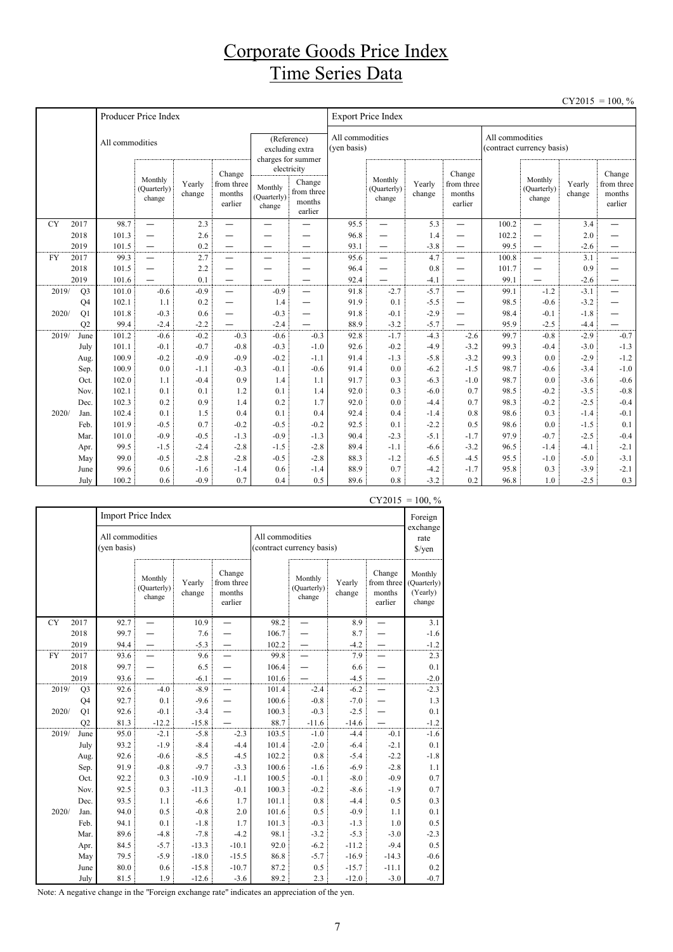### Corporate Goods Price Index Time Series Data

|           |                |                 |                                  |                  |                                           |                                  |                                                                     |                                |                                  |                  |                                           |                 |                                  |                  | $CY2015 = 100, \%$                        |
|-----------|----------------|-----------------|----------------------------------|------------------|-------------------------------------------|----------------------------------|---------------------------------------------------------------------|--------------------------------|----------------------------------|------------------|-------------------------------------------|-----------------|----------------------------------|------------------|-------------------------------------------|
|           |                |                 | Producer Price Index             |                  |                                           |                                  |                                                                     |                                | <b>Export Price Index</b>        |                  |                                           |                 |                                  |                  |                                           |
|           |                | All commodities |                                  |                  |                                           |                                  | (Reference)<br>excluding extra<br>charges for summer<br>electricity | All commodities<br>(yen basis) |                                  |                  |                                           | All commodities | (contract currency basis)        |                  |                                           |
|           |                |                 | Monthly<br>(Quarterly)<br>change | Yearly<br>change | Change<br>from three<br>months<br>earlier | Monthly<br>(Quarterly)<br>change | Change<br>from three<br>months<br>earlier                           |                                | Monthly<br>(Quarterly)<br>change | Yearly<br>change | Change<br>from three<br>months<br>earlier |                 | Monthly<br>(Quarterly)<br>change | Yearly<br>change | Change<br>from three<br>months<br>earlier |
| <b>CY</b> | 2017           | 98.7            | $\overline{\phantom{0}}$         | 2.3              | $\overline{\phantom{0}}$                  | $\overline{\phantom{0}}$         | —                                                                   | 95.5                           | $\equiv$                         | 5.3              | —                                         | 100.2           | $\overline{\phantom{0}}$         | 3.4              | $\overline{\phantom{0}}$                  |
|           | 2018           | 101.3           | $\overline{\phantom{0}}$         | 2.6              |                                           |                                  |                                                                     | 96.8                           | $\overline{\phantom{0}}$         | 1.4              | -                                         | 102.2           | —                                | 2.0              |                                           |
|           | 2019           | 101.5           | $\qquad \qquad -$                | 0.2              | $\overline{\phantom{0}}$                  | -                                | —                                                                   | 93.1                           | $\overline{\phantom{0}}$         | $-3.8$           | $\overline{\phantom{0}}$                  | 99.5            | —                                | $-2.6$           | —                                         |
| <b>FY</b> | 2017           | 99.3            | $\overbrace{\phantom{1232211}}$  | 2.7              | —                                         | —                                | $\overline{\phantom{0}}$                                            | 95.6                           | —                                | 4.7              |                                           | 100.8           | —                                | 3.1              | —                                         |
|           | 2018           | 101.5           |                                  | 2.2              | —                                         | <u>.</u>                         | $\overline{\phantom{0}}$                                            | 96.4                           |                                  | 0.8              | $\overline{\phantom{0}}$                  | 101.7           | —                                | 0.9              | —                                         |
|           | 2019           | 101.6           |                                  | 0.1              | $\overline{\phantom{0}}$                  | $\overline{\phantom{0}}$         | $\overline{\phantom{0}}$                                            | 92.4                           | $\overline{\phantom{0}}$         | $-4.1$           | $\overline{\phantom{0}}$                  | 99.1            | $\overline{\phantom{0}}$         | $-2.6$           | $\overline{\phantom{0}}$                  |
| 2019/     | Q <sub>3</sub> | 101.0           | $-0.6$                           | $-0.9$           | $\overline{\phantom{0}}$                  | $-0.9$                           | $\overline{\phantom{0}}$                                            | 91.8                           | $-2.7$                           | $-5.7$           |                                           | 99.1            | $-1.2$                           | $-3.1$           | $\overline{\phantom{0}}$                  |
|           | Q4             | 102.1           | 1.1                              | 0.2              | $\overline{\phantom{0}}$                  | 1.4                              | $\overline{\phantom{0}}$                                            | 91.9                           | 0.1                              | $-5.5$           | $\overline{\phantom{0}}$                  | 98.5            | $-0.6$                           | $-3.2$           |                                           |
| 2020/     | Q1             | 101.8           | $-0.3$                           | 0.6              | —                                         | $-0.3$                           | $\overline{\phantom{0}}$                                            | 91.8                           | $-0.1$                           | $-2.9$           | —                                         | 98.4            | $-0.1$                           | $-1.8$           |                                           |
| 2019/     | Q2<br>June     | 99.4<br>101.2   | $-2.4$<br>$-0.6$                 | $-2.2$<br>$-0.2$ | $-0.3$                                    | $-2.4$<br>$-0.6$                 | $-0.3$                                                              | 88.9<br>92.8                   | $-3.2$<br>$-1.7$                 | $-5.7$<br>$-4.3$ | $-2.6$                                    | 95.9<br>99.7    | $-2.5$<br>$-0.8$                 | $-4.4$<br>$-2.9$ | $-0.7$                                    |
|           | July           | 101.1           | $-0.1$                           | $-0.7$           | $-0.8$                                    | $-0.3$                           | $-1.0$                                                              | 92.6                           | $-0.2$                           | $-4.9$           | $-3.2$                                    | 99.3            | $-0.4$                           | $-3.0$           | $-1.3$                                    |
|           |                | 100.9           | $-0.2$                           | $-0.9$           | $-0.9$                                    | $-0.2$                           | $-1.1$                                                              | 91.4                           | $-1.3$                           | $-5.8$           | $-3.2$                                    | 99.3            | 0.0                              | $-2.9$           | $-1.2$                                    |
|           | Aug.<br>Sep.   | 100.9           | 0.0                              | $-1.1$           | $-0.3$                                    | $-0.1$                           | $-0.6$                                                              | 91.4                           | 0.0                              | $-6.2$           | $-1.5$                                    | 98.7            | $-0.6$                           | $-3.4$           | $-1.0$                                    |
|           | Oct.           | 102.0           | 1.1                              | $-0.4$           | 0.9                                       | 1.4                              | 1.1                                                                 | 91.7                           | 0.3                              | $-6.3$           | $-1.0$                                    | 98.7            | 0.0                              | $-3.6$           | $-0.6$                                    |
|           | Nov.           | 102.1           | 0.1                              | 0.1              | 1.2                                       | 0.1                              | 1.4                                                                 | 92.0                           | 0.3                              | $-6.0$           | 0.7                                       | 98.5            | $-0.2$                           | $-3.5$           | $-0.8$                                    |
|           | Dec.           | 102.3           | 0.2                              | 0.9              | 1.4                                       | 0.2                              | 1.7                                                                 | 92.0                           | 0.0                              | $-4.4$           | 0.7                                       | 98.3            | $-0.2$                           | $-2.5$           | $-0.4$                                    |
| 2020/     | Jan.           | 102.4           | 0.1                              | 1.5              | 0.4                                       | 0.1                              | 0.4                                                                 | 92.4                           | 0.4                              | $-1.4$           | 0.8                                       | 98.6            | 0.3                              | $-1.4$           | $-0.1$                                    |
|           | Feb.           | 101.9           | $-0.5$                           | 0.7              | $-0.2$                                    | $-0.5$                           | $-0.2$                                                              | 92.5                           | 0.1                              | $-2.2$           | 0.5                                       | 98.6            | 0.0                              | $-1.5$           | 0.1                                       |
|           | Mar.           | 101.0           | $-0.9$                           | $-0.5$           | $-1.3$                                    | $-0.9$                           | $-1.3$                                                              | 90.4                           | $-2.3$                           | $-5.1$           | $-1.7$                                    | 97.9            | $-0.7$                           | $-2.5$           | $-0.4$                                    |
|           | Apr.           | 99.5            | $-1.5$                           | $-2.4$           | $-2.8$                                    | $-1.5$                           | $-2.8$                                                              | 89.4                           | $-1.1$                           | $-6.6$           | $-3.2$                                    | 96.5            | $-1.4$                           | $-4.1$           | $-2.1$                                    |
|           | May            | 99.0            | $-0.5$                           | $-2.8$           | $-2.8$                                    | $-0.5$                           | $-2.8$                                                              | 88.3                           | $-1.2$                           | $-6.5$           | $-4.5$                                    | 95.5            | $-1.0$                           | $-5.0$           | $-3.1$                                    |
|           | June           | 99.6            | 0.6                              | $-1.6$           | $-1.4$                                    | 0.6                              | $-1.4$                                                              | 88.9                           | 0.7                              | $-4.2$           | $-1.7$                                    | 95.8            | 0.3                              | $-3.9$           | $-2.1$                                    |
|           | July           | 100.2           | 0.6                              | $-0.9$           | 0.7                                       | 0.4                              | 0.5                                                                 | 89.6                           | 0.8                              | $-3.2$           | 0.2                                       | 96.8            | 1.0                              | $-2.5$           | 0.3                                       |

|           |                |                                | Import Price Index               |                  |                                           |                 |                                  |                  |                                           | Foreign<br>exchange                          |  |
|-----------|----------------|--------------------------------|----------------------------------|------------------|-------------------------------------------|-----------------|----------------------------------|------------------|-------------------------------------------|----------------------------------------------|--|
|           |                | All commodities<br>(yen basis) |                                  |                  |                                           | All commodities | (contract currency basis)        |                  |                                           | rate<br>\$/yen                               |  |
|           |                |                                | Monthly<br>(Quarterly)<br>change | Yearly<br>change | Change<br>from three<br>months<br>earlier |                 | Monthly<br>(Quarterly)<br>change | Yearly<br>change | Change<br>from three<br>months<br>earlier | Monthly<br>(Quarterly)<br>(Yearly)<br>change |  |
| <b>CY</b> | 2017           | 92.7                           |                                  | 10.9             |                                           | 98.2            |                                  | 8.9              |                                           | 3.1                                          |  |
|           | 2018           | 99.7                           |                                  | 7.6              |                                           | 106.7           |                                  | 8.7              |                                           | $-1.6$                                       |  |
|           | 2019           | 94.4                           |                                  | $-5.3$           |                                           | 102.2           |                                  | $-4.2$           |                                           | $-1.2$                                       |  |
| FY        | 2017           | 93.6                           |                                  | 9.6              |                                           | 99.8            |                                  | 7.9              |                                           | 2.3                                          |  |
|           | 2018           | 99.7                           |                                  | 6.5              |                                           | 106.4           |                                  | 6.6              |                                           | 0.1                                          |  |
|           | 2019           | 93.6                           |                                  | $-6.1$           | —                                         | 101.6           |                                  | $-4.5$           | $\overline{\phantom{0}}$                  | $-2.0$                                       |  |
| 2019/     | Q <sub>3</sub> | 92.6                           | $-4.0$                           | $-8.9$           |                                           | 101.4           | $-2.4$                           | $-6.2$           |                                           | $-2.3$                                       |  |
|           | Q4             | 92.7                           | 0.1                              | $-9.6$           |                                           | 100.6           | $-0.8$                           | $-7.0$           |                                           | 1.3                                          |  |
| 2020/     | Q1             | 92.6                           | $-0.1$                           | $-3.4$           |                                           | 100.3           | $-0.3$                           | $-2.5$           |                                           | 0.1                                          |  |
|           | Q2             | 81.3                           | $-12.2$                          | $-15.8$          |                                           | 88.7            | $-11.6$                          | $-14.6$          |                                           | $-1.2$                                       |  |
| 2019/     | June           | 95.0                           | $-2.1$                           | $-5.8$           | $-2.3$                                    | 103.5           | $-1.0$                           | $-4.4$           | $-0.1$                                    | $-1.6$                                       |  |
|           | July           | 93.2                           | $-1.9$                           | $-8.4$           | $-4.4$                                    | 101.4           | $-2.0$                           | $-6.4$           | $-2.1$                                    | 0.1                                          |  |
|           | Aug.           | 92.6                           | $-0.6$                           | $-8.5$           | $-4.5$                                    | 102.2           | 0.8                              | $-5.4$           | $-2.2$                                    | $-1.8$                                       |  |
|           | Sep.           | 91.9                           | $-0.8$                           | $-9.7$           | $-3.3$                                    | 100.6           | $-1.6$                           | $-6.9$           | $-2.8$                                    | 1.1                                          |  |
|           | Oct.           | 92.2                           | 0.3                              | $-10.9$          | $-1.1$                                    | 100.5           | $-0.1$                           | $-8.0$           | $-0.9$                                    | 0.7                                          |  |
|           | Nov.           | 92.5                           | 0.3                              | $-11.3$          | $-0.1$                                    | 100.3           | $-0.2$                           | $-8.6$           | $-1.9$                                    | 0.7                                          |  |
|           | Dec.           | 93.5                           | 1.1                              | $-6.6$           | 1.7                                       | 101.1           | 0.8                              | $-4.4$           | 0.5                                       | 0.3                                          |  |
| 2020/     | Jan.           | 94.0                           | 0.5                              | $-0.8$           | 2.0                                       | 101.6           | 0.5                              | $-0.9$           | 1.1                                       | 0.1                                          |  |
|           | Feb.           | 94.1                           | 0.1                              | $-1.8$           | 1.7                                       | 101.3           | $-0.3$                           | $-1.3$           | 1.0                                       | 0.5                                          |  |
|           | Mar.           | 89.6                           | $-4.8$                           | $-7.8$           | $-4.2$                                    | 98.1            | $-3.2$                           | $-5.3$           | $-3.0$                                    | $-2.3$                                       |  |
|           | Apr.           | 84.5                           | $-5.7$                           | $-13.3$          | $-10.1$                                   | 92.0            | $-6.2$                           | $-11.2$          | $-9.4$                                    | 0.5                                          |  |
|           | May            | 79.5                           | $-5.9$                           | $-18.0$          | $-15.5$                                   | 86.8            | $-5.7$                           | $-16.9$          | $-14.3$                                   | $-0.6$                                       |  |
|           | June           | 80.0                           | 0.6                              | $-15.8$          | $-10.7$                                   | 87.2            | 0.5                              | $-15.7$          | $-11.1$                                   | 0.2                                          |  |
|           | July           | 81.5                           | 1.9                              | $-12.6$          | $-3.6$                                    | 89.2            | 2.3                              | $-12.0$          | $-3.0$                                    | $-0.7$                                       |  |

 $CY2015 = 100, \%$ 

Note: A negative change in the "Foreign exchange rate" indicates an appreciation of the yen.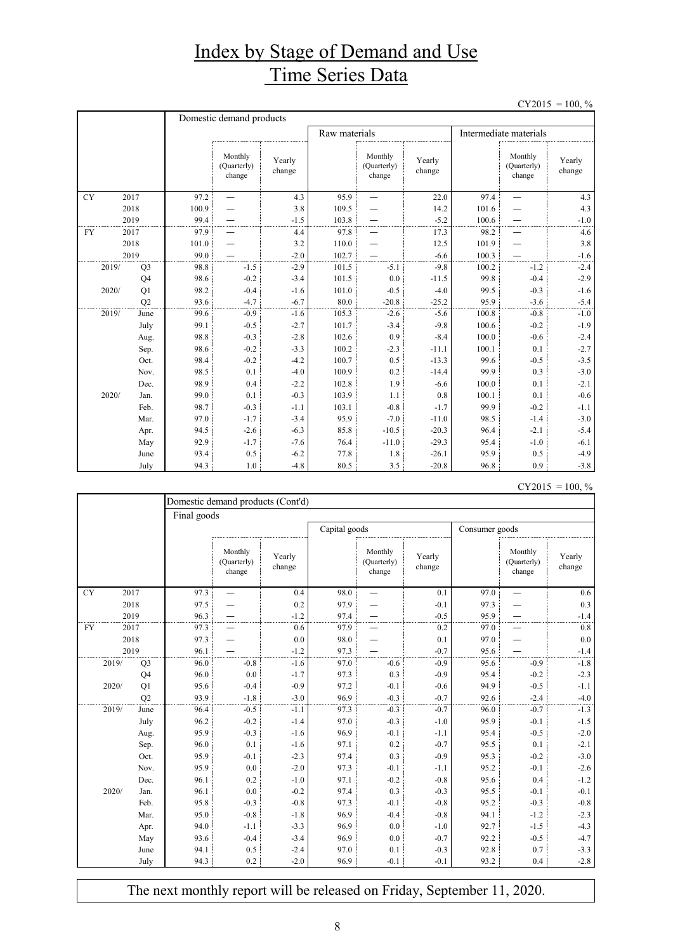## Index by Stage of Demand and Use Time Series Data

 $CY2015 = 100, \%$ 

|           |                | Domestic demand products |                                  |                  |               |                                  |                  |                        |                                  |                  |  |
|-----------|----------------|--------------------------|----------------------------------|------------------|---------------|----------------------------------|------------------|------------------------|----------------------------------|------------------|--|
|           |                |                          |                                  |                  | Raw materials |                                  |                  | Intermediate materials |                                  |                  |  |
|           |                |                          | Monthly<br>(Quarterly)<br>change | Yearly<br>change |               | Monthly<br>(Quarterly)<br>change | Yearly<br>change |                        | Monthly<br>(Quarterly)<br>change | Yearly<br>change |  |
| <b>CY</b> | 2017           | 97.2                     | $\overline{\phantom{0}}$         | 4.3              | 95.9          |                                  | 22.0             | 97.4                   | $\overline{\phantom{0}}$         | 4.3              |  |
|           | 2018           | 100.9                    |                                  | 3.8              | 109.5         |                                  | 14.2             | 101.6                  |                                  | 4.3              |  |
|           | 2019           | 99.4                     |                                  | $-1.5$           | 103.8         |                                  | $-5.2$           | 100.6                  |                                  | $-1.0$           |  |
| <b>FY</b> | 2017           | 97.9                     |                                  | 4.4              | 97.8          |                                  | 17.3             | 98.2                   |                                  | 4.6              |  |
|           | 2018           | 101.0                    |                                  | 3.2              | 110.0         |                                  | 12.5             | 101.9                  |                                  | 3.8              |  |
|           | 2019           | 99.0                     |                                  | $-2.0$           | 102.7         |                                  | $-6.6$           | 100.3                  |                                  | $-1.6$           |  |
| 2019/     | Q <sub>3</sub> | 98.8                     | $-1.5$                           | $-2.9$           | 101.5         | $-5.1$                           | $-9.8$           | 100.2                  | $-1.2$                           | $-2.4$           |  |
|           | Q <sub>4</sub> | 98.6                     | $-0.2$                           | $-3.4$           | 101.5         | 0.0                              | $-11.5$          | 99.8                   | $-0.4$                           | $-2.9$           |  |
| 2020/     | Q1             | 98.2                     | $-0.4$                           | $-1.6$           | 101.0         | $-0.5$                           | $-4.0$           | 99.5                   | $-0.3$                           | $-1.6$           |  |
|           | Q2             | 93.6                     | $-4.7$                           | $-6.7$           | 80.0          | $-20.8$                          | $-25.2$          | 95.9                   | $-3.6$                           | $-5.4$           |  |
| 2019/     | June           | 99.6                     | $-0.9$                           | $-1.6$           | 105.3         | $-2.6$                           | $-5.6$           | 100.8                  | $-0.8$                           | $-1.0$           |  |
|           | July           | 99.1                     | $-0.5$                           | $-2.7$           | 101.7         | $-3.4$                           | $-9.8$           | 100.6                  | $-0.2$                           | $-1.9$           |  |
|           | Aug.           | 98.8                     | $-0.3$                           | $-2.8$           | 102.6         | 0.9                              | $-8.4$           | 100.0                  | $-0.6$                           | $-2.4$           |  |
|           | Sep.           | 98.6                     | $-0.2$                           | $-3.3$           | 100.2         | $-2.3$                           | $-11.1$          | 100.1                  | 0.1                              | $-2.7$           |  |
|           | Oct.           | 98.4                     | $-0.2$                           | $-4.2$           | 100.7         | 0.5                              | $-13.3$          | 99.6                   | $-0.5$                           | $-3.5$           |  |
|           | Nov.           | 98.5                     | 0.1                              | $-4.0$           | 100.9         | 0.2                              | $-14.4$          | 99.9                   | 0.3                              | $-3.0$           |  |
|           | Dec.           | 98.9                     | 0.4                              | $-2.2$           | 102.8         | 1.9                              | $-6.6$           | 100.0                  | 0.1                              | $-2.1$           |  |
| 2020/     | Jan.           | 99.0                     | 0.1                              | $-0.3$           | 103.9         | 1.1                              | 0.8              | 100.1                  | 0.1                              | $-0.6$           |  |
|           | Feb.           | 98.7                     | $-0.3$                           | $-1.1$           | 103.1         | $-0.8$                           | $-1.7$           | 99.9                   | $-0.2$                           | $-1.1$           |  |
|           | Mar.           | 97.0                     | $-1.7$                           | $-3.4$           | 95.9          | $-7.0$                           | $-11.0$          | 98.5                   | $-1.4$                           | $-3.0$           |  |
|           | Apr.           | 94.5                     | $-2.6$                           | $-6.3$           | 85.8          | $-10.5$                          | $-20.3$          | 96.4                   | $-2.1$                           | $-5.4$           |  |
|           | May            | 92.9                     | $-1.7$                           | $-7.6$           | 76.4          | $-11.0$                          | $-29.3$          | 95.4                   | $-1.0$                           | $-6.1$           |  |
|           | June           | 93.4                     | 0.5                              | $-6.2$           | 77.8          | 1.8                              | $-26.1$          | 95.9                   | 0.5                              | $-4.9$           |  |
|           | July           | 94.3                     | 1.0                              | $-4.8$           | 80.5          | 3.5                              | $-20.8$          | 96.8                   | 0.9                              | $-3.8$           |  |

|           |                | Domestic demand products (Cont'd) |                                  |                  |               |                                  |                  |                |                                  |                  |
|-----------|----------------|-----------------------------------|----------------------------------|------------------|---------------|----------------------------------|------------------|----------------|----------------------------------|------------------|
|           |                | Final goods                       |                                  |                  |               |                                  |                  |                |                                  |                  |
|           |                |                                   |                                  |                  | Capital goods |                                  |                  | Consumer goods |                                  |                  |
|           |                |                                   | Monthly<br>(Quarterly)<br>change | Yearly<br>change |               | Monthly<br>(Quarterly)<br>change | Yearly<br>change |                | Monthly<br>(Quarterly)<br>change | Yearly<br>change |
| <b>CY</b> | 2017           | 97.3                              |                                  | 0.4              | 98.0          |                                  | 0.1              | 97.0           | —                                | 0.6              |
|           | 2018           | 97.5                              |                                  | 0.2              | 97.9          |                                  | $-0.1$           | 97.3           |                                  | 0.3              |
|           | 2019           | 96.3                              |                                  | $-1.2$           | 97.4          |                                  | $-0.5$           | 95.9           | —                                | $-1.4$           |
| <b>FY</b> | 2017           | 97.3                              |                                  | 0.6              | 97.9          |                                  | 0.2              | 97.0           |                                  | 0.8              |
|           | 2018           | 97.3                              |                                  | 0.0              | 98.0          |                                  | 0.1              | 97.0           |                                  | 0.0              |
| 2019      |                | 96.1                              |                                  | $-1.2$           | 97.3          |                                  | $-0.7$           | 95.6           |                                  | $-1.4$           |
| 2019/     | Q <sub>3</sub> | 96.0                              | $-0.8$                           | $-1.6$           | 97.0          | $-0.6$                           | $-0.9$           | 95.6           | $-0.9$                           | $-1.8$           |
|           | Q <sub>4</sub> | 96.0                              | 0.0                              | $-1.7$           | 97.3          | 0.3                              | $-0.9$           | 95.4           | $-0.2$                           | $-2.3$           |
| 2020/     | Q1             | 95.6                              | $-0.4$                           | $-0.9$           | 97.2          | $-0.1$                           | $-0.6$           | 94.9           | $-0.5$                           | $-1.1$           |
|           | Q2             | 93.9                              | $-1.8$                           | $-3.0$           | 96.9          | $-0.3$                           | $-0.7$           | 92.6           | $-2.4$                           | $-4.0$           |
| 2019/     | June           | 96.4                              | $-0.5$                           | $-1.1$           | 97.3          | $-0.3$                           | $-0.7$           | 96.0           | $-0.7$                           | $-1.3$           |
|           | July           | 96.2                              | $-0.2$                           | $-1.4$           | 97.0          | $-0.3$                           | $-1.0$           | 95.9           | $-0.1$                           | $-1.5$           |
|           | Aug.           | 95.9                              | $-0.3$                           | $-1.6$           | 96.9          | $-0.1$                           | $-1.1$           | 95.4           | $-0.5$                           | $-2.0$           |
|           | Sep.           | 96.0                              | 0.1                              | $-1.6$           | 97.1          | 0.2                              | $-0.7$           | 95.5           | 0.1                              | $-2.1$           |
|           | Oct.           | 95.9                              | $-0.1$                           | $-2.3$           | 97.4          | 0.3                              | $-0.9$           | 95.3           | $-0.2$                           | $-3.0$           |
|           | Nov.           | 95.9                              | 0.0                              | $-2.0$           | 97.3          | $-0.1$                           | $-1.1$           | 95.2           | $-0.1$                           | $-2.6$           |
|           | Dec.           | 96.1                              | 0.2                              | $-1.0$           | 97.1          | $-0.2$                           | $-0.8$           | 95.6           | 0.4                              | $-1.2$           |
| 2020/     | Jan.           | 96.1                              | 0.0                              | $-0.2$           | 97.4          | 0.3                              | $-0.3$           | 95.5           | $-0.1$                           | $-0.1$           |
|           | Feb.           | 95.8                              | $-0.3$                           | $-0.8$           | 97.3          | $-0.1$                           | $-0.8$           | 95.2           | $-0.3$                           | $-0.8$           |
|           | Mar.           | 95.0                              | $-0.8$                           | $-1.8$           | 96.9          | $-0.4$                           | $-0.8$           | 94.1           | $-1.2$                           | $-2.3$           |
|           | Apr.           | 94.0                              | $-1.1$                           | $-3.3$           | 96.9          | 0.0                              | $-1.0$           | 92.7           | $-1.5$                           | $-4.3$           |
|           | May            | 93.6                              | $-0.4$                           | $-3.4$           | 96.9          | 0.0                              | $-0.7$           | 92.2           | $-0.5$                           | $-4.7$           |
|           | June           | 94.1                              | 0.5                              | $-2.4$           | 97.0          | 0.1                              | $-0.3$           | 92.8           | 0.7                              | $-3.3$           |
|           | July           | 94.3                              | 0.2                              | $-2.0$           | 96.9          | $-0.1$                           | $-0.1$           | 93.2           | 0.4                              | $-2.8$           |

The next monthly report will be released on Friday, September 11, 2020.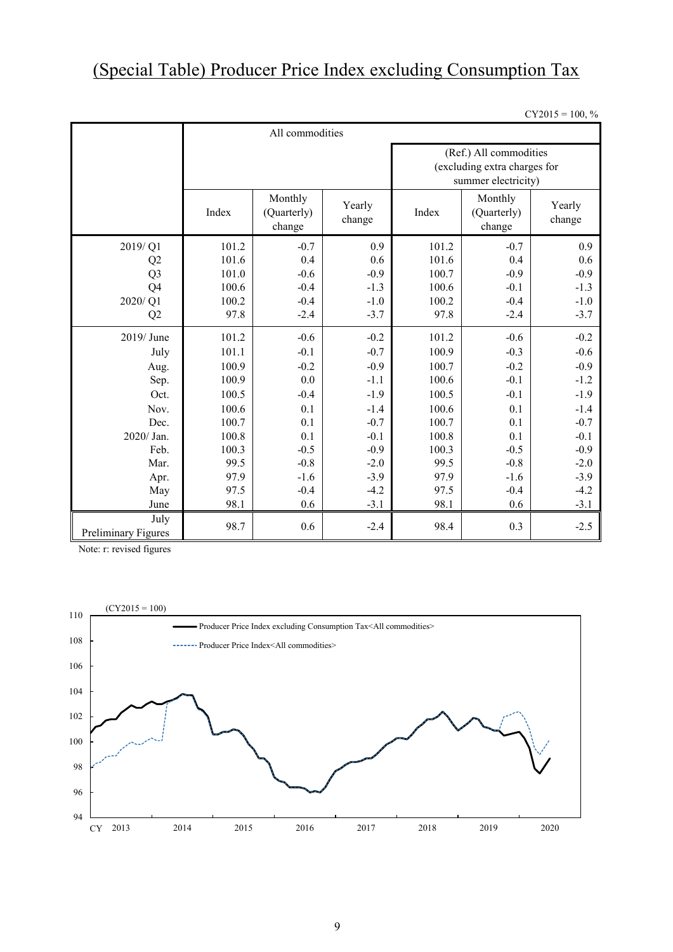## (Special Table) Producer Price Index excluding Consumption Tax

 $CY2015 = 100, \%$ 

|                             | All commodities |                                  |                  |                                                                               |                                  |                  |  |  |  |
|-----------------------------|-----------------|----------------------------------|------------------|-------------------------------------------------------------------------------|----------------------------------|------------------|--|--|--|
|                             |                 |                                  |                  | (Ref.) All commodities<br>(excluding extra charges for<br>summer electricity) |                                  |                  |  |  |  |
|                             | Index           | Monthly<br>(Quarterly)<br>change | Yearly<br>change | Index                                                                         | Monthly<br>(Quarterly)<br>change | Yearly<br>change |  |  |  |
| 2019/Q1                     | 101.2           | $-0.7$                           | 0.9              | 101.2                                                                         | $-0.7$                           | 0.9              |  |  |  |
| Q <sub>2</sub>              | 101.6           | 0.4                              | 0.6              | 101.6                                                                         | 0.4                              | 0.6              |  |  |  |
| Q <sub>3</sub>              | 101.0           | $-0.6$                           | $-0.9$           | 100.7                                                                         | $-0.9$                           | $-0.9$           |  |  |  |
| Q4                          | 100.6           | $-0.4$                           | $-1.3$           | 100.6                                                                         | $-0.1$                           | $-1.3$           |  |  |  |
| 2020/Q1                     | 100.2           | $-0.4$                           | $-1.0$           | 100.2                                                                         | $-0.4$                           | $-1.0$           |  |  |  |
| Q <sub>2</sub>              | 97.8            | $-2.4$                           | $-3.7$           | 97.8                                                                          | $-2.4$                           | $-3.7$           |  |  |  |
| 2019/June                   | 101.2           | $-0.6$                           | $-0.2$           | 101.2                                                                         | $-0.6$                           | $-0.2$           |  |  |  |
| July                        | 101.1           | $-0.1$                           | $-0.7$           | 100.9                                                                         | $-0.3$                           | $-0.6$           |  |  |  |
| Aug.                        | 100.9           | $-0.2$                           | $-0.9$           | 100.7                                                                         | $-0.2$                           | $-0.9$           |  |  |  |
| Sep.                        | 100.9           | 0.0                              | $-1.1$           | 100.6                                                                         | $-0.1$                           | $-1.2$           |  |  |  |
| Oct.                        | 100.5           | $-0.4$                           | $-1.9$           | 100.5                                                                         | $-0.1$                           | $-1.9$           |  |  |  |
| Nov.                        | 100.6           | 0.1                              | $-1.4$           | 100.6                                                                         | 0.1                              | $-1.4$           |  |  |  |
| Dec.                        | 100.7           | 0.1                              | $-0.7$           | 100.7                                                                         | 0.1                              | $-0.7$           |  |  |  |
| 2020/ Jan.                  | 100.8           | 0.1                              | $-0.1$           | 100.8                                                                         | 0.1                              | $-0.1$           |  |  |  |
| Feb.                        | 100.3           | $-0.5$                           | $-0.9$           | 100.3                                                                         | $-0.5$                           | $-0.9$           |  |  |  |
| Mar.                        | 99.5            | $-0.8$                           | $-2.0$           | 99.5                                                                          | $-0.8$                           | $-2.0$           |  |  |  |
| Apr.                        | 97.9            | $-1.6$                           | $-3.9$           | 97.9                                                                          | $-1.6$                           | $-3.9$           |  |  |  |
| May                         | 97.5            | $-0.4$                           | $-4.2$           | 97.5                                                                          | $-0.4$                           | $-4.2$           |  |  |  |
| June                        | 98.1            | 0.6                              | $-3.1$           | 98.1                                                                          | 0.6                              | $-3.1$           |  |  |  |
| July<br>Preliminary Figures | 98.7            | 0.6                              | $-2.4$           | 98.4                                                                          | 0.3                              | $-2.5$           |  |  |  |

Note: r: revised figures